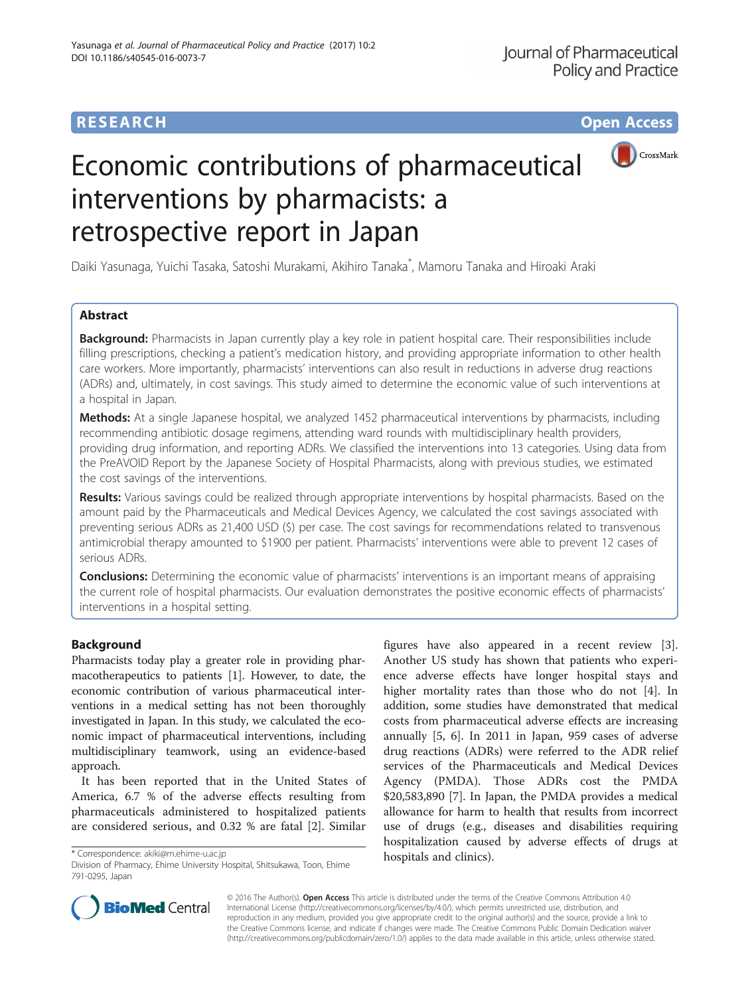

# Economic contributions of pharmaceutical interventions by pharmacists: a retrospective report in Japan

Daiki Yasunaga, Yuichi Tasaka, Satoshi Murakami, Akihiro Tanaka<sup>\*</sup>, Mamoru Tanaka and Hiroaki Araki

# Abstract

Background: Pharmacists in Japan currently play a key role in patient hospital care. Their responsibilities include filling prescriptions, checking a patient's medication history, and providing appropriate information to other health care workers. More importantly, pharmacists' interventions can also result in reductions in adverse drug reactions (ADRs) and, ultimately, in cost savings. This study aimed to determine the economic value of such interventions at a hospital in Japan.

Methods: At a single Japanese hospital, we analyzed 1452 pharmaceutical interventions by pharmacists, including recommending antibiotic dosage regimens, attending ward rounds with multidisciplinary health providers, providing drug information, and reporting ADRs. We classified the interventions into 13 categories. Using data from the PreAVOID Report by the Japanese Society of Hospital Pharmacists, along with previous studies, we estimated the cost savings of the interventions.

Results: Various savings could be realized through appropriate interventions by hospital pharmacists. Based on the amount paid by the Pharmaceuticals and Medical Devices Agency, we calculated the cost savings associated with preventing serious ADRs as 21,400 USD (\$) per case. The cost savings for recommendations related to transvenous antimicrobial therapy amounted to \$1900 per patient. Pharmacists' interventions were able to prevent 12 cases of serious ADRs.

**Conclusions:** Determining the economic value of pharmacists' interventions is an important means of appraising the current role of hospital pharmacists. Our evaluation demonstrates the positive economic effects of pharmacists' interventions in a hospital setting.

# Background

Pharmacists today play a greater role in providing pharmacotherapeutics to patients [\[1](#page-6-0)]. However, to date, the economic contribution of various pharmaceutical interventions in a medical setting has not been thoroughly investigated in Japan. In this study, we calculated the economic impact of pharmaceutical interventions, including multidisciplinary teamwork, using an evidence-based approach.

It has been reported that in the United States of America, 6.7 % of the adverse effects resulting from pharmaceuticals administered to hospitalized patients are considered serious, and 0.32 % are fatal [\[2](#page-6-0)]. Similar

Division of Pharmacy, Ehime University Hospital, Shitsukawa, Toon, Ehime 791-0295, Japan

figures have also appeared in a recent review [\[3](#page-6-0)]. Another US study has shown that patients who experience adverse effects have longer hospital stays and higher mortality rates than those who do not [\[4](#page-6-0)]. In addition, some studies have demonstrated that medical costs from pharmaceutical adverse effects are increasing annually [[5, 6](#page-6-0)]. In 2011 in Japan, 959 cases of adverse drug reactions (ADRs) were referred to the ADR relief services of the Pharmaceuticals and Medical Devices Agency (PMDA). Those ADRs cost the PMDA \$20,583,890 [[7\]](#page-6-0). In Japan, the PMDA provides a medical allowance for harm to health that results from incorrect use of drugs (e.g., diseases and disabilities requiring hospitalization caused by adverse effects of drugs at hospitals and clinics). \* Correspondence: [akiki@m.ehime-u.ac.jp](mailto:akiki@m.ehime-u.ac.jp)



© 2016 The Author(s). Open Access This article is distributed under the terms of the Creative Commons Attribution 4.0 International License [\(http://creativecommons.org/licenses/by/4.0/](http://creativecommons.org/licenses/by/4.0/)), which permits unrestricted use, distribution, and reproduction in any medium, provided you give appropriate credit to the original author(s) and the source, provide a link to the Creative Commons license, and indicate if changes were made. The Creative Commons Public Domain Dedication waiver [\(http://creativecommons.org/publicdomain/zero/1.0/](http://creativecommons.org/publicdomain/zero/1.0/)) applies to the data made available in this article, unless otherwise stated.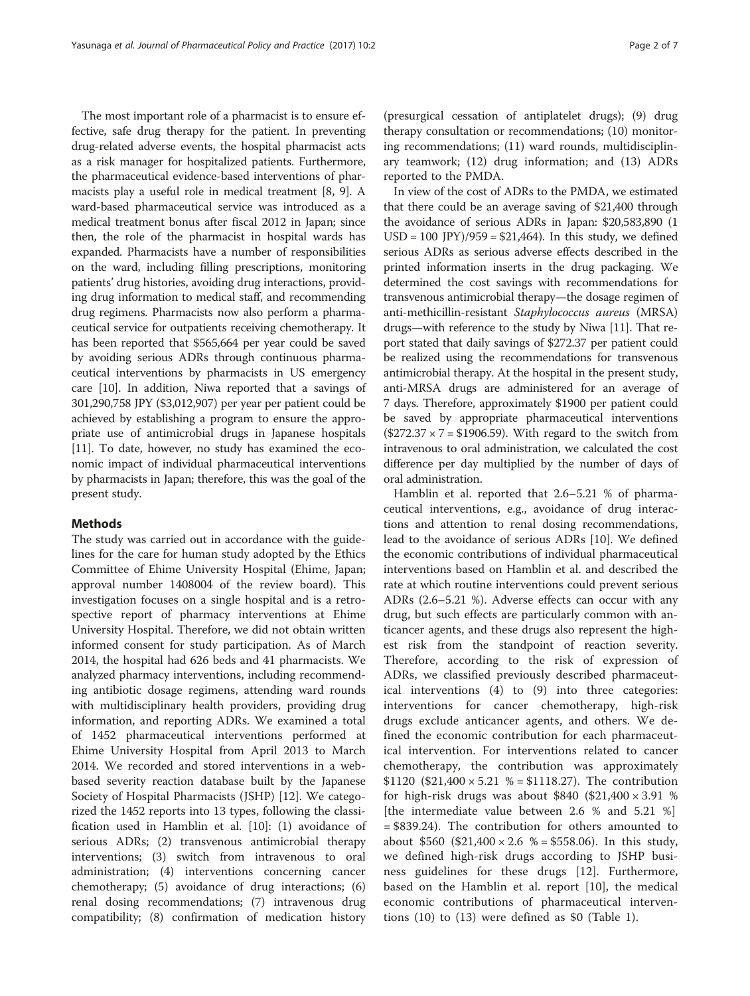The most important role of a pharmacist is to ensure effective, safe drug therapy for the patient. In preventing drug-related adverse events, the hospital pharmacist acts as a risk manager for hospitalized patients. Furthermore, the pharmaceutical evidence-based interventions of pharmacists play a useful role in medical treatment [[8, 9\]](#page-6-0). A ward-based pharmaceutical service was introduced as a medical treatment bonus after fiscal 2012 in Japan; since then, the role of the pharmacist in hospital wards has expanded. Pharmacists have a number of responsibilities on the ward, including filling prescriptions, monitoring patients' drug histories, avoiding drug interactions, providing drug information to medical staff, and recommending drug regimens. Pharmacists now also perform a pharmaceutical service for outpatients receiving chemotherapy. It has been reported that \$565,664 per year could be saved by avoiding serious ADRs through continuous pharmaceutical interventions by pharmacists in US emergency care [\[10\]](#page-6-0). In addition, Niwa reported that a savings of 301,290,758 JPY (\$3,012,907) per year per patient could be achieved by establishing a program to ensure the appropriate use of antimicrobial drugs in Japanese hospitals [[11](#page-6-0)]. To date, however, no study has examined the economic impact of individual pharmaceutical interventions by pharmacists in Japan; therefore, this was the goal of the present study.

## Methods

The study was carried out in accordance with the guidelines for the care for human study adopted by the Ethics Committee of Ehime University Hospital (Ehime, Japan; approval number 1408004 of the review board). This investigation focuses on a single hospital and is a retrospective report of pharmacy interventions at Ehime University Hospital. Therefore, we did not obtain written informed consent for study participation. As of March 2014, the hospital had 626 beds and 41 pharmacists. We analyzed pharmacy interventions, including recommending antibiotic dosage regimens, attending ward rounds with multidisciplinary health providers, providing drug information, and reporting ADRs. We examined a total of 1452 pharmaceutical interventions performed at Ehime University Hospital from April 2013 to March 2014. We recorded and stored interventions in a webbased severity reaction database built by the Japanese Society of Hospital Pharmacists (JSHP) [[12\]](#page-6-0). We categorized the 1452 reports into 13 types, following the classification used in Hamblin et al. [\[10](#page-6-0)]: (1) avoidance of serious ADRs; (2) transvenous antimicrobial therapy interventions; (3) switch from intravenous to oral administration; (4) interventions concerning cancer chemotherapy; (5) avoidance of drug interactions; (6) renal dosing recommendations; (7) intravenous drug compatibility; (8) confirmation of medication history

(presurgical cessation of antiplatelet drugs); (9) drug therapy consultation or recommendations; (10) monitoring recommendations; (11) ward rounds, multidisciplinary teamwork; (12) drug information; and (13) ADRs reported to the PMDA.

In view of the cost of ADRs to the PMDA, we estimated that there could be an average saving of \$21,400 through the avoidance of serious ADRs in Japan: \$20,583,890 (1  $USD = 100$  JPY $)/959 = $21,464$ ). In this study, we defined serious ADRs as serious adverse effects described in the printed information inserts in the drug packaging. We determined the cost savings with recommendations for transvenous antimicrobial therapy—the dosage regimen of anti-methicillin-resistant Staphylococcus aureus (MRSA) drugs—with reference to the study by Niwa [\[11\]](#page-6-0). That report stated that daily savings of \$272.37 per patient could be realized using the recommendations for transvenous antimicrobial therapy. At the hospital in the present study, anti-MRSA drugs are administered for an average of 7 days. Therefore, approximately \$1900 per patient could be saved by appropriate pharmaceutical interventions  $(\$272.37 \times 7 = \$1906.59)$ . With regard to the switch from intravenous to oral administration, we calculated the cost difference per day multiplied by the number of days of oral administration.

Hamblin et al. reported that 2.6–5.21 % of pharmaceutical interventions, e.g., avoidance of drug interactions and attention to renal dosing recommendations, lead to the avoidance of serious ADRs [[10\]](#page-6-0). We defined the economic contributions of individual pharmaceutical interventions based on Hamblin et al. and described the rate at which routine interventions could prevent serious ADRs (2.6–5.21 %). Adverse effects can occur with any drug, but such effects are particularly common with anticancer agents, and these drugs also represent the highest risk from the standpoint of reaction severity. Therefore, according to the risk of expression of ADRs, we classified previously described pharmaceutical interventions (4) to (9) into three categories: interventions for cancer chemotherapy, high-risk drugs exclude anticancer agents, and others. We defined the economic contribution for each pharmaceutical intervention. For interventions related to cancer chemotherapy, the contribution was approximately \$1120 (\$21,400  $\times$  5.21 % = \$1118.27). The contribution for high-risk drugs was about \$840 (\$21,400  $\times$  3.91 %) [the intermediate value between 2.6 % and 5.21 %] = \$839.24). The contribution for others amounted to about \$560 (\$21,400  $\times$  2.6 % = \$558.06). In this study, we defined high-risk drugs according to JSHP business guidelines for these drugs [[12\]](#page-6-0). Furthermore, based on the Hamblin et al. report [\[10](#page-6-0)], the medical economic contributions of pharmaceutical interventions (10) to (13) were defined as \$0 (Table [1\)](#page-2-0).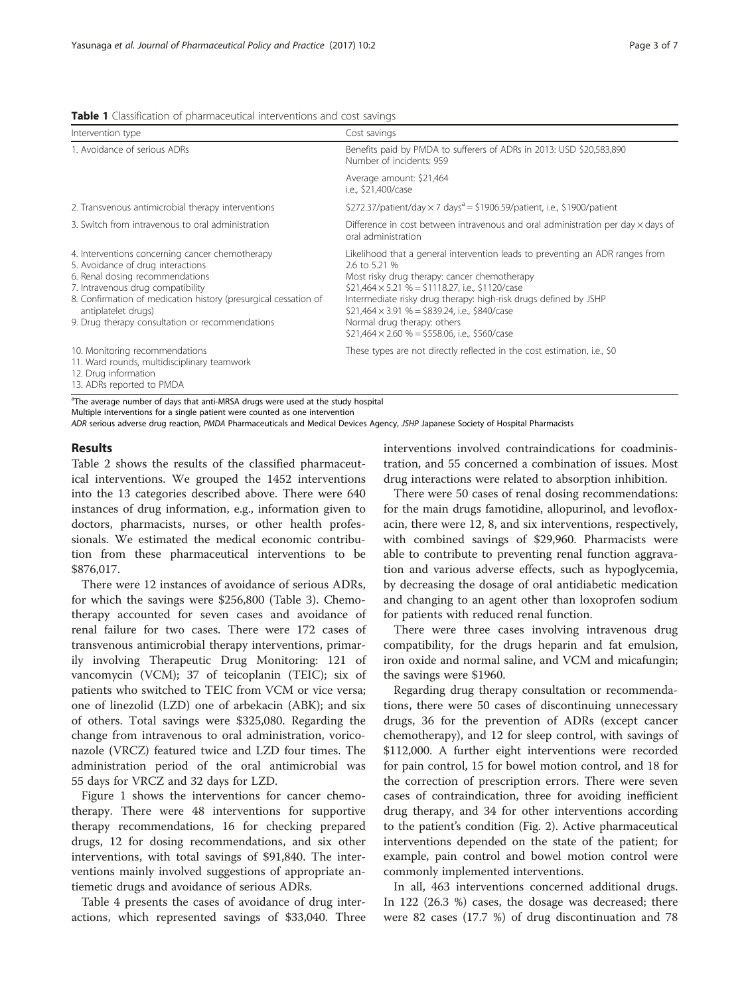<span id="page-2-0"></span>

|  |  | Table 1 Classification of pharmaceutical interventions and cost savings |  |  |  |
|--|--|-------------------------------------------------------------------------|--|--|--|
|  |  |                                                                         |  |  |  |

| Intervention type                                                                                                                                                                                                                                                                                         | Cost savings                                                                                                                                                                                                                                                                                                                                                                                                                 |
|-----------------------------------------------------------------------------------------------------------------------------------------------------------------------------------------------------------------------------------------------------------------------------------------------------------|------------------------------------------------------------------------------------------------------------------------------------------------------------------------------------------------------------------------------------------------------------------------------------------------------------------------------------------------------------------------------------------------------------------------------|
| 1. Avoidance of serious ADRs                                                                                                                                                                                                                                                                              | Benefits paid by PMDA to sufferers of ADRs in 2013: USD \$20,583,890<br>Number of incidents: 959                                                                                                                                                                                                                                                                                                                             |
|                                                                                                                                                                                                                                                                                                           | Average amount: \$21,464<br>i.e., \$21,400/case                                                                                                                                                                                                                                                                                                                                                                              |
| 2. Transvenous antimicrobial therapy interventions                                                                                                                                                                                                                                                        | \$272.37/patient/day $\times$ 7 days <sup>a</sup> = \$1906.59/patient, i.e., \$1900/patient                                                                                                                                                                                                                                                                                                                                  |
| 3. Switch from intravenous to oral administration                                                                                                                                                                                                                                                         | Difference in cost between intravenous and oral administration per day $\times$ days of<br>oral administration                                                                                                                                                                                                                                                                                                               |
| 4. Interventions concerning cancer chemotherapy<br>5. Avoidance of drug interactions<br>6. Renal dosing recommendations<br>7. Intravenous drug compatibility<br>8. Confirmation of medication history (presurgical cessation of<br>antiplatelet drugs)<br>9. Drug therapy consultation or recommendations | Likelihood that a general intervention leads to preventing an ADR ranges from<br>2.6 to 5.21 %<br>Most risky drug therapy: cancer chemotherapy<br>$$21,464 \times 5.21$ % = \$1118.27, i.e., \$1120/case<br>Intermediate risky drug therapy: high-risk drugs defined by JSHP<br>$$21,464 \times 3.91$ % = \$839.24, i.e., \$840/case<br>Normal drug therapy: others<br>$$21,464 \times 2.60 \% = $558.06$ , i.e., \$560/case |
| 10. Monitoring recommendations<br>11. Ward rounds, multidisciplinary teamwork<br>12. Drug information<br>.                                                                                                                                                                                                | These types are not directly reflected in the cost estimation, i.e., \$0                                                                                                                                                                                                                                                                                                                                                     |

13. ADRs reported to PMDA

<sup>a</sup>The average number of days that anti-MRSA drugs were used at the study hospital

Multiple interventions for a single patient were counted as one intervention

ADR serious adverse drug reaction, PMDA Pharmaceuticals and Medical Devices Agency, JSHP Japanese Society of Hospital Pharmacists

## Results

Table [2](#page-3-0) shows the results of the classified pharmaceutical interventions. We grouped the 1452 interventions into the 13 categories described above. There were 640 instances of drug information, e.g., information given to doctors, pharmacists, nurses, or other health professionals. We estimated the medical economic contribution from these pharmaceutical interventions to be \$876,017.

There were 12 instances of avoidance of serious ADRs, for which the savings were \$256,800 (Table [3](#page-3-0)). Chemotherapy accounted for seven cases and avoidance of renal failure for two cases. There were 172 cases of transvenous antimicrobial therapy interventions, primarily involving Therapeutic Drug Monitoring: 121 of vancomycin (VCM); 37 of teicoplanin (TEIC); six of patients who switched to TEIC from VCM or vice versa; one of linezolid (LZD) one of arbekacin (ABK); and six of others. Total savings were \$325,080. Regarding the change from intravenous to oral administration, voriconazole (VRCZ) featured twice and LZD four times. The administration period of the oral antimicrobial was 55 days for VRCZ and 32 days for LZD.

Figure [1](#page-4-0) shows the interventions for cancer chemotherapy. There were 48 interventions for supportive therapy recommendations, 16 for checking prepared drugs, 12 for dosing recommendations, and six other interventions, with total savings of \$91,840. The interventions mainly involved suggestions of appropriate antiemetic drugs and avoidance of serious ADRs.

Table [4](#page-4-0) presents the cases of avoidance of drug interactions, which represented savings of \$33,040. Three interventions involved contraindications for coadministration, and 55 concerned a combination of issues. Most drug interactions were related to absorption inhibition.

There were 50 cases of renal dosing recommendations: for the main drugs famotidine, allopurinol, and levofloxacin, there were 12, 8, and six interventions, respectively, with combined savings of \$29,960. Pharmacists were able to contribute to preventing renal function aggravation and various adverse effects, such as hypoglycemia, by decreasing the dosage of oral antidiabetic medication and changing to an agent other than loxoprofen sodium for patients with reduced renal function.

There were three cases involving intravenous drug compatibility, for the drugs heparin and fat emulsion, iron oxide and normal saline, and VCM and micafungin; the savings were \$1960.

Regarding drug therapy consultation or recommendations, there were 50 cases of discontinuing unnecessary drugs, 36 for the prevention of ADRs (except cancer chemotherapy), and 12 for sleep control, with savings of \$112,000. A further eight interventions were recorded for pain control, 15 for bowel motion control, and 18 for the correction of prescription errors. There were seven cases of contraindication, three for avoiding inefficient drug therapy, and 34 for other interventions according to the patient's condition (Fig. [2](#page-5-0)). Active pharmaceutical interventions depended on the state of the patient; for example, pain control and bowel motion control were commonly implemented interventions.

In all, 463 interventions concerned additional drugs. In 122 (26.3 %) cases, the dosage was decreased; there were 82 cases (17.7 %) of drug discontinuation and 78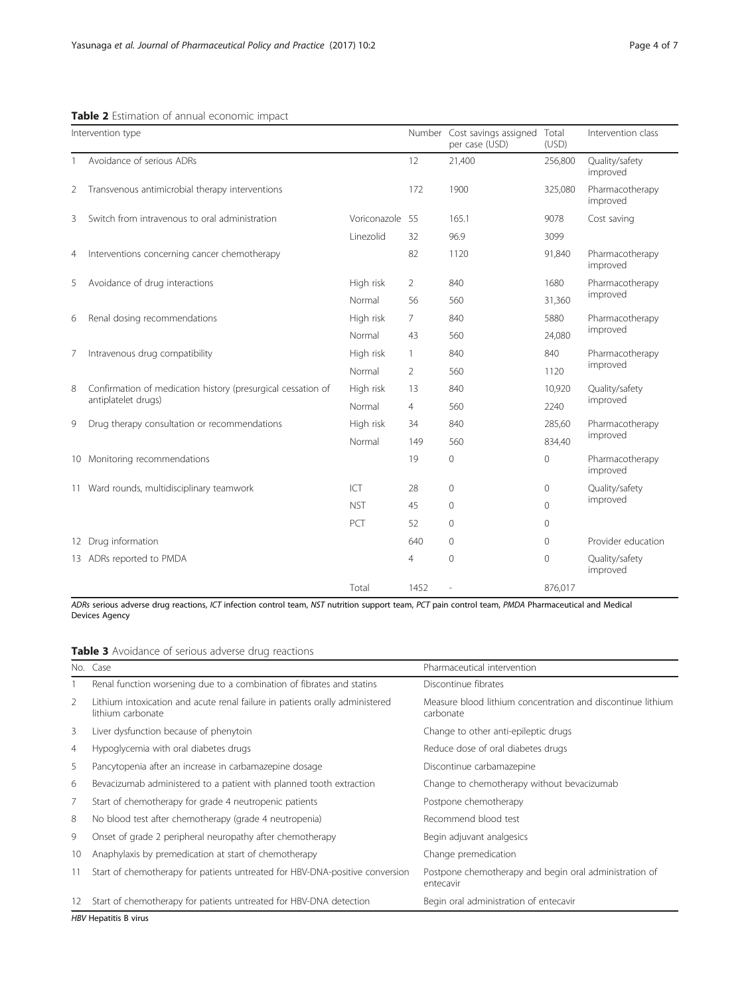# <span id="page-3-0"></span>Table 2 Estimation of annual economic impact

| Intervention type |                                                              |                 |                | Number Cost savings assigned<br>per case (USD) | Total<br>(USD) | Intervention class          |
|-------------------|--------------------------------------------------------------|-----------------|----------------|------------------------------------------------|----------------|-----------------------------|
|                   | Avoidance of serious ADRs                                    |                 | 12             | 21,400                                         | 256,800        | Quality/safety<br>improved  |
| 2                 | Transvenous antimicrobial therapy interventions              |                 | 172            | 1900                                           | 325,080        | Pharmacotherapy<br>improved |
| 3                 | Switch from intravenous to oral administration               | Voriconazole 55 |                | 165.1                                          | 9078           | Cost saving                 |
|                   |                                                              | Linezolid       | 32             | 96.9                                           | 3099           |                             |
| 4                 | Interventions concerning cancer chemotherapy                 |                 | 82             | 1120                                           | 91,840         | Pharmacotherapy<br>improved |
| 5                 | Avoidance of drug interactions                               | High risk       | 2              | 840                                            | 1680           | Pharmacotherapy             |
|                   |                                                              | Normal          | 56             | 560                                            | 31,360         | improved                    |
| 6                 | Renal dosing recommendations                                 | High risk       | $\overline{7}$ | 840                                            | 5880           | Pharmacotherapy<br>improved |
|                   |                                                              | Normal          | 43             | 560                                            | 24,080         |                             |
| 7                 | Intravenous drug compatibility                               | High risk       | $\mathbf{1}$   | 840                                            | 840            | Pharmacotherapy<br>improved |
|                   |                                                              | Normal          | 2              | 560                                            | 1120           |                             |
| 8                 | Confirmation of medication history (presurgical cessation of | High risk       | 13             | 840                                            | 10,920         | Quality/safety<br>improved  |
|                   | antiplatelet drugs)                                          | Normal          | 4              | 560                                            | 2240           |                             |
| 9                 | Drug therapy consultation or recommendations                 | High risk       | 34             | 840                                            | 285,60         | Pharmacotherapy<br>improved |
|                   |                                                              | Normal          | 149            | 560                                            | 834,40         |                             |
|                   | 10 Monitoring recommendations                                |                 | 19             | 0                                              | 0              | Pharmacotherapy<br>improved |
|                   | 11 Ward rounds, multidisciplinary teamwork                   | ICT             | 28             | $\mathbf{0}$                                   | 0              | Quality/safety<br>improved  |
|                   |                                                              | <b>NST</b>      | 45             | 0                                              | $\Omega$       |                             |
|                   |                                                              | PCT             | 52             | $\Omega$                                       | $\Omega$       |                             |
| 12                | Drug information                                             |                 | 640            | $\mathbf{0}$                                   | $\mathbf{0}$   | Provider education          |
|                   | 13 ADRs reported to PMDA                                     |                 | 4              | 0                                              | $\mathbf 0$    | Quality/safety<br>improved  |
|                   |                                                              | Total           | 1452           |                                                | 876,017        |                             |

ADRs serious adverse drug reactions, ICT infection control team, NST nutrition support team, PCT pain control team, PMDA Pharmaceutical and Medical Devices Agency

Table 3 Avoidance of serious adverse drug reactions

|    | No. Case                                                                                          | Pharmaceutical intervention                                              |
|----|---------------------------------------------------------------------------------------------------|--------------------------------------------------------------------------|
|    | Renal function worsening due to a combination of fibrates and statins                             | Discontinue fibrates                                                     |
| 2  | Lithium intoxication and acute renal failure in patients orally administered<br>lithium carbonate | Measure blood lithium concentration and discontinue lithium<br>carbonate |
| 3  | Liver dysfunction because of phenytoin                                                            | Change to other anti-epileptic drugs                                     |
| 4  | Hypoglycemia with oral diabetes drugs                                                             | Reduce dose of oral diabetes drugs                                       |
| 5  | Pancytopenia after an increase in carbamazepine dosage                                            | Discontinue carbamazepine                                                |
| 6  | Bevacizumab administered to a patient with planned tooth extraction                               | Change to chemotherapy without bevacizumab                               |
| 7  | Start of chemotherapy for grade 4 neutropenic patients                                            | Postpone chemotherapy                                                    |
| 8  | No blood test after chemotherapy (grade 4 neutropenia)                                            | Recommend blood test                                                     |
| 9  | Onset of grade 2 peripheral neuropathy after chemotherapy                                         | Begin adjuvant analgesics                                                |
| 10 | Anaphylaxis by premedication at start of chemotherapy                                             | Change premedication                                                     |
| 11 | Start of chemotherapy for patients untreated for HBV-DNA-positive conversion                      | Postpone chemotherapy and begin oral administration of<br>entecavir      |
| 12 | Start of chemotherapy for patients untreated for HBV-DNA detection                                | Begin oral administration of entecavir                                   |

HBV Hepatitis B virus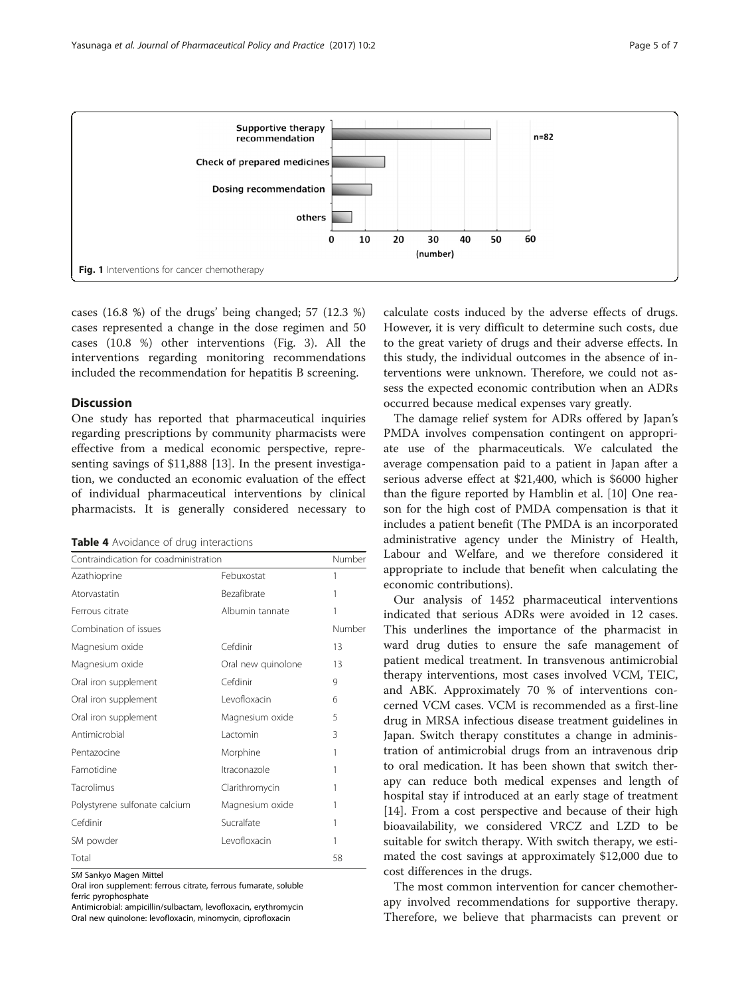<span id="page-4-0"></span>

cases (16.8 %) of the drugs' being changed; 57 (12.3 %) cases represented a change in the dose regimen and 50 cases (10.8 %) other interventions (Fig. [3\)](#page-5-0). All the interventions regarding monitoring recommendations included the recommendation for hepatitis B screening.

# Discussion

One study has reported that pharmaceutical inquiries regarding prescriptions by community pharmacists were effective from a medical economic perspective, representing savings of \$11,888 [\[13](#page-6-0)]. In the present investigation, we conducted an economic evaluation of the effect of individual pharmaceutical interventions by clinical pharmacists. It is generally considered necessary to

Table 4 Avoidance of drug interactions

| Contraindication for coadministration | Number             |        |
|---------------------------------------|--------------------|--------|
| Azathioprine                          | Febuxostat         | 1      |
| Atorvastatin                          | Bezafibrate        | 1      |
| Ferrous citrate                       | Albumin tannate    | 1      |
| Combination of issues                 |                    | Number |
| Magnesium oxide                       | Cefdinir           | 13     |
| Magnesium oxide                       | Oral new quinolone | 13     |
| Oral iron supplement                  | Cefdinir           | 9      |
| Oral iron supplement                  | Levofloxacin       | 6      |
| Oral iron supplement                  | Magnesium oxide    | 5      |
| Antimicrobial                         | Lactomin           | 3      |
| Pentazocine                           | Morphine           | 1      |
| Famotidine                            | Itraconazole       | 1      |
| Tacrolimus                            | Clarithromycin     | 1      |
| Polystyrene sulfonate calcium         | Magnesium oxide    | 1      |
| Cefdinir                              | Sucralfate         | 1      |
| SM powder                             | Levofloxacin       | 1      |
| Total                                 |                    | 58     |

SM Sankyo Magen Mittel

Oral iron supplement: ferrous citrate, ferrous fumarate, soluble ferric pyrophosphate

Antimicrobial: ampicillin/sulbactam, levofloxacin, erythromycin Oral new quinolone: levofloxacin, minomycin, ciprofloxacin

calculate costs induced by the adverse effects of drugs. However, it is very difficult to determine such costs, due to the great variety of drugs and their adverse effects. In this study, the individual outcomes in the absence of interventions were unknown. Therefore, we could not assess the expected economic contribution when an ADRs occurred because medical expenses vary greatly.

The damage relief system for ADRs offered by Japan's PMDA involves compensation contingent on appropriate use of the pharmaceuticals. We calculated the average compensation paid to a patient in Japan after a serious adverse effect at \$21,400, which is \$6000 higher than the figure reported by Hamblin et al. [[10](#page-6-0)] One reason for the high cost of PMDA compensation is that it includes a patient benefit (The PMDA is an incorporated administrative agency under the Ministry of Health, Labour and Welfare, and we therefore considered it appropriate to include that benefit when calculating the economic contributions).

Our analysis of 1452 pharmaceutical interventions indicated that serious ADRs were avoided in 12 cases. This underlines the importance of the pharmacist in ward drug duties to ensure the safe management of patient medical treatment. In transvenous antimicrobial therapy interventions, most cases involved VCM, TEIC, and ABK. Approximately 70 % of interventions concerned VCM cases. VCM is recommended as a first-line drug in MRSA infectious disease treatment guidelines in Japan. Switch therapy constitutes a change in administration of antimicrobial drugs from an intravenous drip to oral medication. It has been shown that switch therapy can reduce both medical expenses and length of hospital stay if introduced at an early stage of treatment [[14\]](#page-6-0). From a cost perspective and because of their high bioavailability, we considered VRCZ and LZD to be suitable for switch therapy. With switch therapy, we estimated the cost savings at approximately \$12,000 due to cost differences in the drugs.

The most common intervention for cancer chemotherapy involved recommendations for supportive therapy. Therefore, we believe that pharmacists can prevent or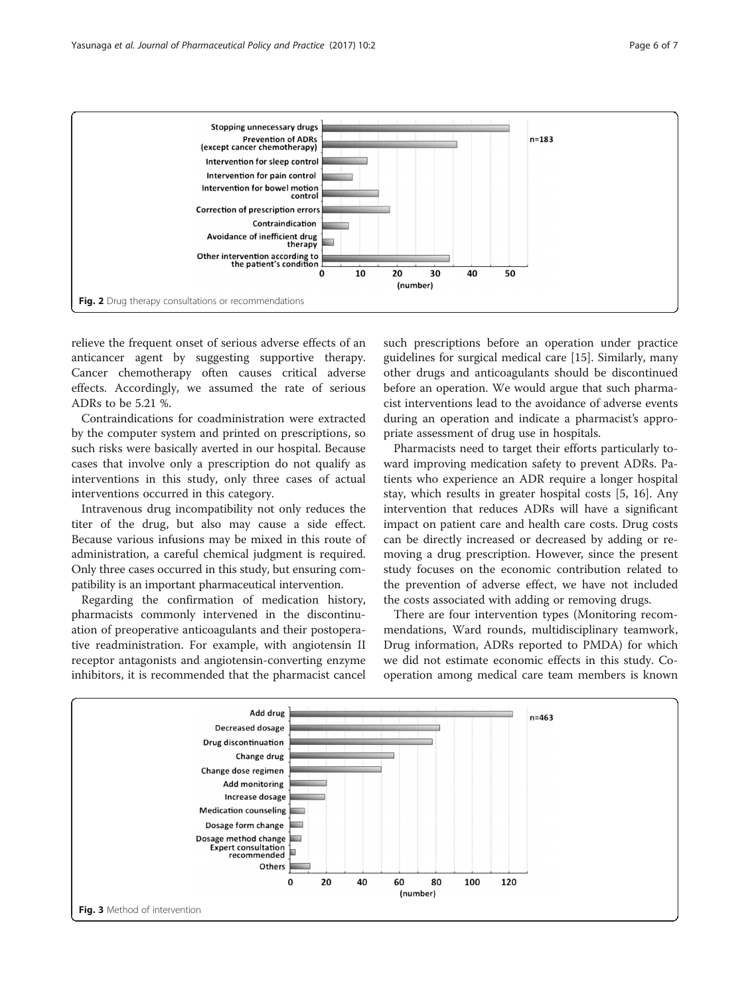<span id="page-5-0"></span>

relieve the frequent onset of serious adverse effects of an anticancer agent by suggesting supportive therapy. Cancer chemotherapy often causes critical adverse effects. Accordingly, we assumed the rate of serious ADRs to be  $5.21\%$ 

Contraindications for coadministration were extracted by the computer system and printed on prescriptions, so such risks were basically averted in our hospital. Because cases that involve only a prescription do not qualify as interventions in this study, only three cases of actual interventions occurred in this category.

Intravenous drug incompatibility not only reduces the titer of the drug, but also may cause a side effect. Because various infusions may be mixed in this route of administration, a careful chemical judgment is required. Only three cases occurred in this study, but ensuring compatibility is an important pharmaceutical intervention.

Regarding the confirmation of medication history, pharmacists commonly intervened in the discontinuation of preoperative anticoagulants and their postoperative readministration. For example, with angiotensin II receptor antagonists and angiotensin-converting enzyme inhibitors, it is recommended that the pharmacist cancel

such prescriptions before an operation under practice guidelines for surgical medical care [[15](#page-6-0)]. Similarly, many other drugs and anticoagulants should be discontinued before an operation. We would argue that such pharmacist interventions lead to the avoidance of adverse events during an operation and indicate a pharmacist's appropriate assessment of drug use in hospitals.

Pharmacists need to target their efforts particularly toward improving medication safety to prevent ADRs. Patients who experience an ADR require a longer hospital stay, which results in greater hospital costs [\[5, 16\]](#page-6-0). Any intervention that reduces ADRs will have a significant impact on patient care and health care costs. Drug costs can be directly increased or decreased by adding or removing a drug prescription. However, since the present study focuses on the economic contribution related to the prevention of adverse effect, we have not included the costs associated with adding or removing drugs.

There are four intervention types (Monitoring recommendations, Ward rounds, multidisciplinary teamwork, Drug information, ADRs reported to PMDA) for which we did not estimate economic effects in this study. Cooperation among medical care team members is known